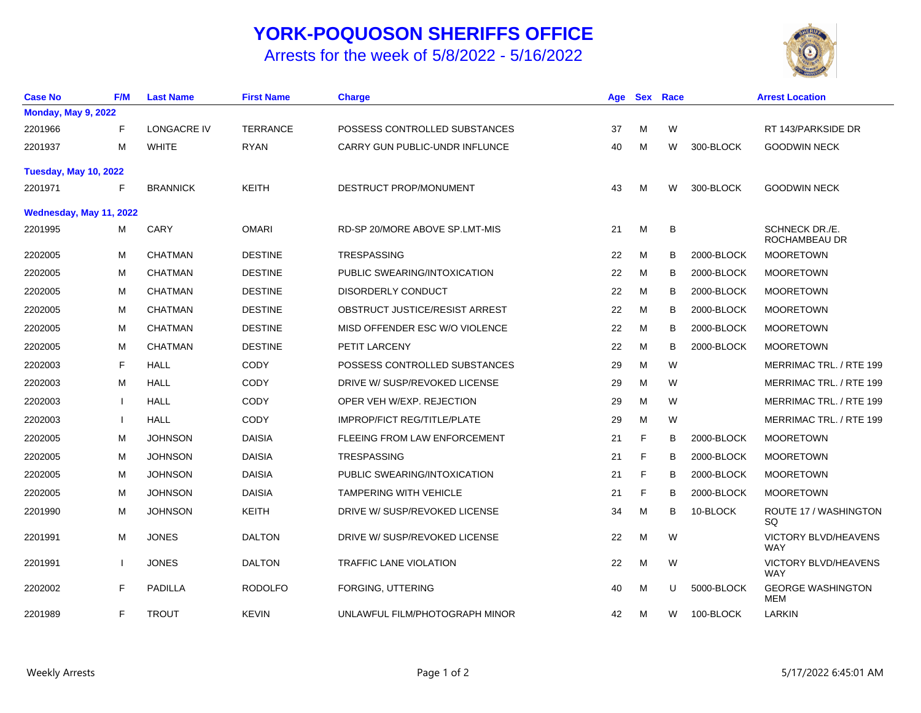## **YORK-POQUOSON SHERIFFS OFFICE**

## Arrests for the week of 5/8/2022 - 5/16/2022



| <b>Case No</b>               | <b>F/M</b> | <b>Last Name</b>   | <b>First Name</b> | <b>Charge</b>                      | Age | <b>Sex</b> | Race |            | <b>Arrest Location</b>                    |
|------------------------------|------------|--------------------|-------------------|------------------------------------|-----|------------|------|------------|-------------------------------------------|
| <b>Monday, May 9, 2022</b>   |            |                    |                   |                                    |     |            |      |            |                                           |
| 2201966                      | F          | <b>LONGACRE IV</b> | <b>TERRANCE</b>   | POSSESS CONTROLLED SUBSTANCES      | 37  | м          | W    |            | RT 143/PARKSIDE DR                        |
| 2201937                      | M          | <b>WHITE</b>       | <b>RYAN</b>       | CARRY GUN PUBLIC-UNDR INFLUNCE     | 40  | M          | W    | 300-BLOCK  | <b>GOODWIN NECK</b>                       |
| <b>Tuesday, May 10, 2022</b> |            |                    |                   |                                    |     |            |      |            |                                           |
| 2201971                      | F          | <b>BRANNICK</b>    | KEITH             | DESTRUCT PROP/MONUMENT             | 43  | M          | W    | 300-BLOCK  | <b>GOODWIN NECK</b>                       |
| Wednesday, May 11, 2022      |            |                    |                   |                                    |     |            |      |            |                                           |
| 2201995                      | м          | CARY               | <b>OMARI</b>      | RD-SP 20/MORE ABOVE SP.LMT-MIS     | 21  | M          | B    |            | SCHNECK DR./E.<br>ROCHAMBEAU DR           |
| 2202005                      | M          | <b>CHATMAN</b>     | <b>DESTINE</b>    | <b>TRESPASSING</b>                 | 22  | M          | В    | 2000-BLOCK | <b>MOORETOWN</b>                          |
| 2202005                      | M          | <b>CHATMAN</b>     | <b>DESTINE</b>    | PUBLIC SWEARING/INTOXICATION       | 22  | M          | в    | 2000-BLOCK | <b>MOORETOWN</b>                          |
| 2202005                      | M          | <b>CHATMAN</b>     | <b>DESTINE</b>    | DISORDERLY CONDUCT                 | 22  | M          | в    | 2000-BLOCK | <b>MOORETOWN</b>                          |
| 2202005                      | M          | <b>CHATMAN</b>     | <b>DESTINE</b>    | OBSTRUCT JUSTICE/RESIST ARREST     | 22  | M          | B    | 2000-BLOCK | <b>MOORETOWN</b>                          |
| 2202005                      | м          | <b>CHATMAN</b>     | <b>DESTINE</b>    | MISD OFFENDER ESC W/O VIOLENCE     | 22  | M          | в    | 2000-BLOCK | <b>MOORETOWN</b>                          |
| 2202005                      | м          | <b>CHATMAN</b>     | <b>DESTINE</b>    | PETIT LARCENY                      | 22  | M          | B    | 2000-BLOCK | <b>MOORETOWN</b>                          |
| 2202003                      | F          | HALL               | <b>CODY</b>       | POSSESS CONTROLLED SUBSTANCES      | 29  | м          | W    |            | MERRIMAC TRL. / RTE 199                   |
| 2202003                      | M          | <b>HALL</b>        | <b>CODY</b>       | DRIVE W/ SUSP/REVOKED LICENSE      | 29  | M          | W    |            | MERRIMAC TRL. / RTE 199                   |
| 2202003                      |            | HALL               | <b>CODY</b>       | OPER VEH W/EXP. REJECTION          | 29  | M          | W    |            | MERRIMAC TRL. / RTE 199                   |
| 2202003                      |            | <b>HALL</b>        | <b>CODY</b>       | <b>IMPROP/FICT REG/TITLE/PLATE</b> | 29  | M          | W    |            | MERRIMAC TRL. / RTE 199                   |
| 2202005                      | M          | <b>JOHNSON</b>     | <b>DAISIA</b>     | FLEEING FROM LAW ENFORCEMENT       | 21  | F          | B    | 2000-BLOCK | <b>MOORETOWN</b>                          |
| 2202005                      | M          | <b>JOHNSON</b>     | <b>DAISIA</b>     | TRESPASSING                        | 21  | F          | в    | 2000-BLOCK | <b>MOORETOWN</b>                          |
| 2202005                      | M          | <b>JOHNSON</b>     | <b>DAISIA</b>     | PUBLIC SWEARING/INTOXICATION       | 21  | F          | в    | 2000-BLOCK | <b>MOORETOWN</b>                          |
| 2202005                      | M          | <b>JOHNSON</b>     | <b>DAISIA</b>     | <b>TAMPERING WITH VEHICLE</b>      | 21  | F          | в    | 2000-BLOCK | <b>MOORETOWN</b>                          |
| 2201990                      | M          | <b>JOHNSON</b>     | <b>KEITH</b>      | DRIVE W/ SUSP/REVOKED LICENSE      | 34  | M          | в    | 10-BLOCK   | ROUTE 17 / WASHINGTON<br>SQ               |
| 2201991                      | M          | <b>JONES</b>       | <b>DALTON</b>     | DRIVE W/ SUSP/REVOKED LICENSE      | 22  | M          | W    |            | VICTORY BLVD/HEAVENS<br><b>WAY</b>        |
| 2201991                      |            | <b>JONES</b>       | <b>DALTON</b>     | <b>TRAFFIC LANE VIOLATION</b>      | 22  | M          | W    |            | <b>VICTORY BLVD/HEAVENS</b><br><b>WAY</b> |
| 2202002                      | F          | PADILLA            | <b>RODOLFO</b>    | FORGING, UTTERING                  | 40  | M          | U    | 5000-BLOCK | <b>GEORGE WASHINGTON</b><br>MEM           |
| 2201989                      | F          | <b>TROUT</b>       | <b>KEVIN</b>      | UNLAWFUL FILM/PHOTOGRAPH MINOR     | 42  | M          | W    | 100-BLOCK  | LARKIN                                    |